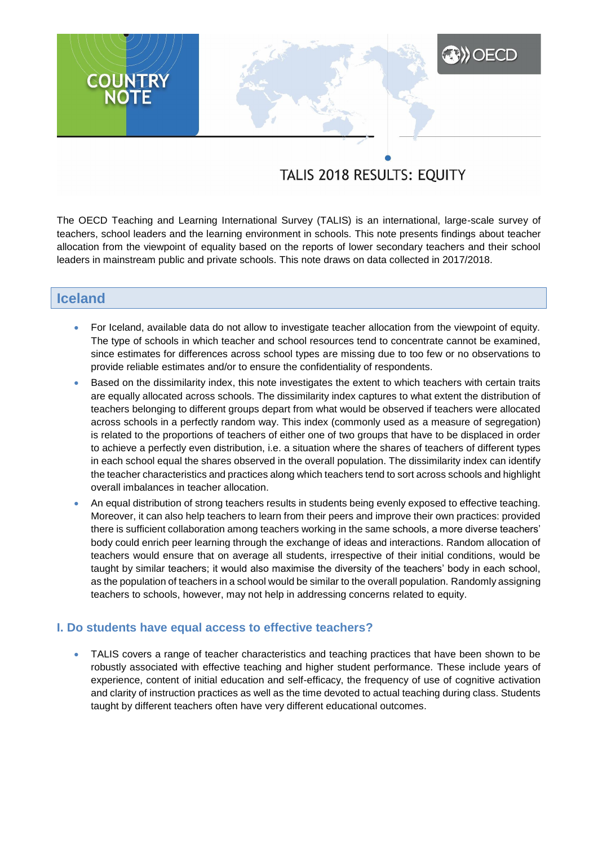# TALIS 2018 RESULTS: EQUITY

**XXX** OECD

The OECD Teaching and Learning International Survey (TALIS) is an international, large-scale survey of teachers, school leaders and the learning environment in schools. This note presents findings about teacher allocation from the viewpoint of equality based on the reports of lower secondary teachers and their school leaders in mainstream public and private schools. This note draws on data collected in 2017/2018.

# **Iceland**

**COUNTRY**<br>NOTE

- For Iceland, available data do not allow to investigate teacher allocation from the viewpoint of equity. The type of schools in which teacher and school resources tend to concentrate cannot be examined, since estimates for differences across school types are missing due to too few or no observations to provide reliable estimates and/or to ensure the confidentiality of respondents.
- Based on the dissimilarity index, this note investigates the extent to which teachers with certain traits are equally allocated across schools. The dissimilarity index captures to what extent the distribution of teachers belonging to different groups depart from what would be observed if teachers were allocated across schools in a perfectly random way. This index (commonly used as a measure of segregation) is related to the proportions of teachers of either one of two groups that have to be displaced in order to achieve a perfectly even distribution, i.e. a situation where the shares of teachers of different types in each school equal the shares observed in the overall population. The dissimilarity index can identify the teacher characteristics and practices along which teachers tend to sort across schools and highlight overall imbalances in teacher allocation.
- An equal distribution of strong teachers results in students being evenly exposed to effective teaching. Moreover, it can also help teachers to learn from their peers and improve their own practices: provided there is sufficient collaboration among teachers working in the same schools, a more diverse teachers' body could enrich peer learning through the exchange of ideas and interactions. Random allocation of teachers would ensure that on average all students, irrespective of their initial conditions, would be taught by similar teachers; it would also maximise the diversity of the teachers' body in each school, as the population of teachers in a school would be similar to the overall population. Randomly assigning teachers to schools, however, may not help in addressing concerns related to equity.

## **I. Do students have equal access to effective teachers?**

 TALIS covers a range of teacher characteristics and teaching practices that have been shown to be robustly associated with effective teaching and higher student performance. These include years of experience, content of initial education and self-efficacy, the frequency of use of cognitive activation and clarity of instruction practices as well as the time devoted to actual teaching during class. Students taught by different teachers often have very different educational outcomes.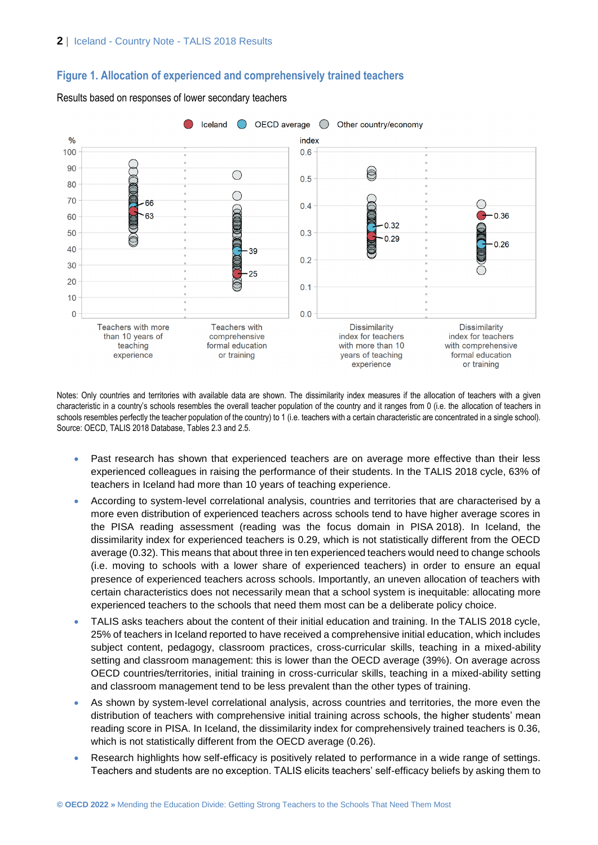## **Figure 1. Allocation of experienced and comprehensively trained teachers**



Results based on responses of lower secondary teachers

Notes: Only countries and territories with available data are shown. The dissimilarity index measures if the allocation of teachers with a given characteristic in a country's schools resembles the overall teacher population of the country and it ranges from 0 (i.e. the allocation of teachers in schools resembles perfectly the teacher population of the country) to 1 (i.e. teachers with a certain characteristic are concentrated in a single school). Source: OECD, TALIS 2018 Database, Tables 2.3 and 2.5.

- Past research has shown that experienced teachers are on average more effective than their less experienced colleagues in raising the performance of their students. In the TALIS 2018 cycle, 63% of teachers in Iceland had more than 10 years of teaching experience.
- According to system-level correlational analysis, countries and territories that are characterised by a more even distribution of experienced teachers across schools tend to have higher average scores in the PISA reading assessment (reading was the focus domain in PISA 2018). In Iceland, the dissimilarity index for experienced teachers is 0.29, which is not statistically different from the OECD average (0.32). This means that about three in ten experienced teachers would need to change schools (i.e. moving to schools with a lower share of experienced teachers) in order to ensure an equal presence of experienced teachers across schools. Importantly, an uneven allocation of teachers with certain characteristics does not necessarily mean that a school system is inequitable: allocating more experienced teachers to the schools that need them most can be a deliberate policy choice.
- TALIS asks teachers about the content of their initial education and training. In the TALIS 2018 cycle, 25% of teachers in Iceland reported to have received a comprehensive initial education, which includes subject content, pedagogy, classroom practices, cross-curricular skills, teaching in a mixed-ability setting and classroom management: this is lower than the OECD average (39%). On average across OECD countries/territories, initial training in cross-curricular skills, teaching in a mixed-ability setting and classroom management tend to be less prevalent than the other types of training.
- As shown by system-level correlational analysis, across countries and territories, the more even the distribution of teachers with comprehensive initial training across schools, the higher students' mean reading score in PISA. In Iceland, the dissimilarity index for comprehensively trained teachers is 0.36, which is not statistically different from the OECD average (0.26).
- Research highlights how self-efficacy is positively related to performance in a wide range of settings. Teachers and students are no exception. TALIS elicits teachers' self-efficacy beliefs by asking them to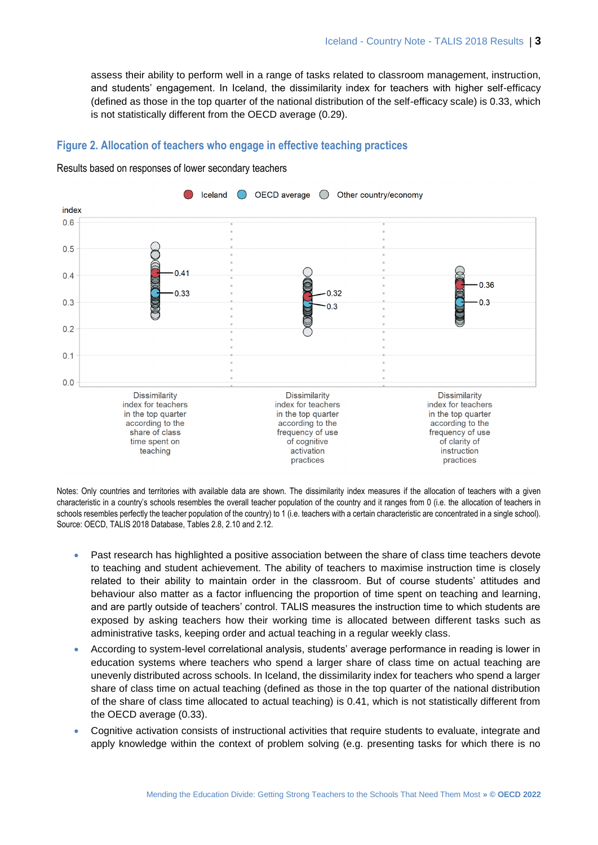assess their ability to perform well in a range of tasks related to classroom management, instruction, and students' engagement. In Iceland, the dissimilarity index for teachers with higher self-efficacy (defined as those in the top quarter of the national distribution of the self-efficacy scale) is 0.33, which is not statistically different from the OECD average (0.29).

## **Figure 2. Allocation of teachers who engage in effective teaching practices**



Results based on responses of lower secondary teachers

Notes: Only countries and territories with available data are shown. The dissimilarity index measures if the allocation of teachers with a given characteristic in a country's schools resembles the overall teacher population of the country and it ranges from 0 (i.e. the allocation of teachers in schools resembles perfectly the teacher population of the country) to 1 (i.e. teachers with a certain characteristic are concentrated in a single school). Source: OECD, TALIS 2018 Database, Tables 2.8, 2.10 and 2.12.

- Past research has highlighted a positive association between the share of class time teachers devote to teaching and student achievement. The ability of teachers to maximise instruction time is closely related to their ability to maintain order in the classroom. But of course students' attitudes and behaviour also matter as a factor influencing the proportion of time spent on teaching and learning, and are partly outside of teachers' control. TALIS measures the instruction time to which students are exposed by asking teachers how their working time is allocated between different tasks such as administrative tasks, keeping order and actual teaching in a regular weekly class.
- According to system-level correlational analysis, students' average performance in reading is lower in education systems where teachers who spend a larger share of class time on actual teaching are unevenly distributed across schools. In Iceland, the dissimilarity index for teachers who spend a larger share of class time on actual teaching (defined as those in the top quarter of the national distribution of the share of class time allocated to actual teaching) is 0.41, which is not statistically different from the OECD average (0.33).
- Cognitive activation consists of instructional activities that require students to evaluate, integrate and apply knowledge within the context of problem solving (e.g. presenting tasks for which there is no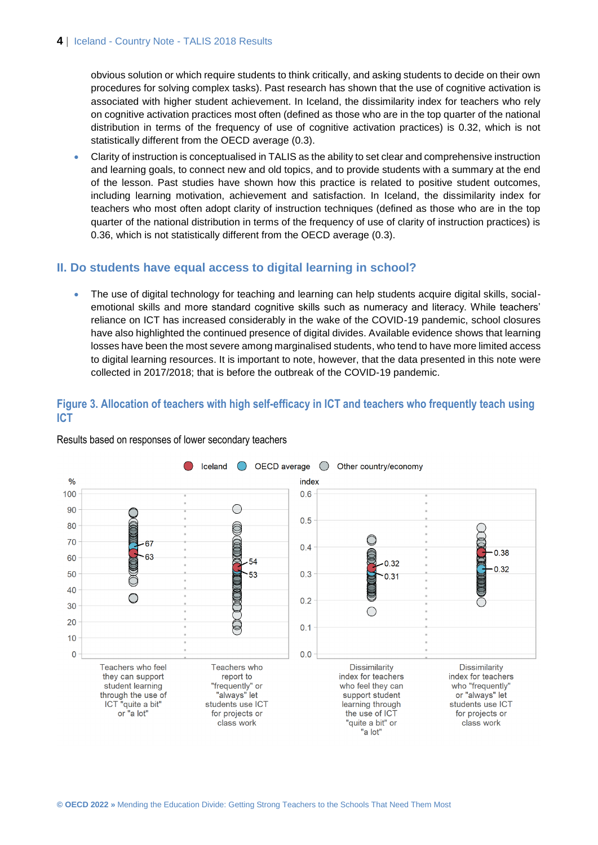obvious solution or which require students to think critically, and asking students to decide on their own procedures for solving complex tasks). Past research has shown that the use of cognitive activation is associated with higher student achievement. In Iceland, the dissimilarity index for teachers who rely on cognitive activation practices most often (defined as those who are in the top quarter of the national distribution in terms of the frequency of use of cognitive activation practices) is 0.32, which is not statistically different from the OECD average (0.3).

 Clarity of instruction is conceptualised in TALIS as the ability to set clear and comprehensive instruction and learning goals, to connect new and old topics, and to provide students with a summary at the end of the lesson. Past studies have shown how this practice is related to positive student outcomes, including learning motivation, achievement and satisfaction. In Iceland, the dissimilarity index for teachers who most often adopt clarity of instruction techniques (defined as those who are in the top quarter of the national distribution in terms of the frequency of use of clarity of instruction practices) is 0.36, which is not statistically different from the OECD average (0.3).

# **II. Do students have equal access to digital learning in school?**

• The use of digital technology for teaching and learning can help students acquire digital skills, socialemotional skills and more standard cognitive skills such as numeracy and literacy. While teachers' reliance on ICT has increased considerably in the wake of the COVID-19 pandemic, school closures have also highlighted the continued presence of digital divides. Available evidence shows that learning losses have been the most severe among marginalised students, who tend to have more limited access to digital learning resources. It is important to note, however, that the data presented in this note were collected in 2017/2018; that is before the outbreak of the COVID-19 pandemic.

# **Figure 3. Allocation of teachers with high self-efficacy in ICT and teachers who frequently teach using ICT**



Results based on responses of lower secondary teachers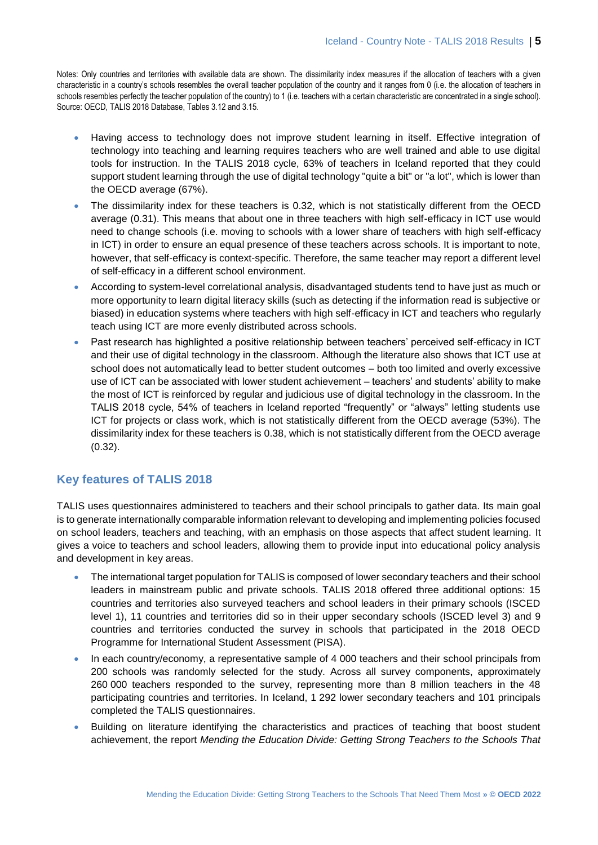Notes: Only countries and territories with available data are shown. The dissimilarity index measures if the allocation of teachers with a given characteristic in a country's schools resembles the overall teacher population of the country and it ranges from 0 (i.e. the allocation of teachers in schools resembles perfectly the teacher population of the country) to 1 (i.e. teachers with a certain characteristic are concentrated in a single school). Source: OECD, TALIS 2018 Database, Tables 3.12 and 3.15.

- Having access to technology does not improve student learning in itself. Effective integration of technology into teaching and learning requires teachers who are well trained and able to use digital tools for instruction. In the TALIS 2018 cycle, 63% of teachers in Iceland reported that they could support student learning through the use of digital technology "quite a bit" or "a lot", which is lower than the OECD average (67%).
- The dissimilarity index for these teachers is 0.32, which is not statistically different from the OECD average (0.31). This means that about one in three teachers with high self-efficacy in ICT use would need to change schools (i.e. moving to schools with a lower share of teachers with high self-efficacy in ICT) in order to ensure an equal presence of these teachers across schools. It is important to note, however, that self-efficacy is context-specific. Therefore, the same teacher may report a different level of self-efficacy in a different school environment.
- According to system-level correlational analysis, disadvantaged students tend to have just as much or more opportunity to learn digital literacy skills (such as detecting if the information read is subjective or biased) in education systems where teachers with high self-efficacy in ICT and teachers who regularly teach using ICT are more evenly distributed across schools.
- Past research has highlighted a positive relationship between teachers' perceived self-efficacy in ICT and their use of digital technology in the classroom. Although the literature also shows that ICT use at school does not automatically lead to better student outcomes – both too limited and overly excessive use of ICT can be associated with lower student achievement – teachers' and students' ability to make the most of ICT is reinforced by regular and judicious use of digital technology in the classroom. In the TALIS 2018 cycle, 54% of teachers in Iceland reported "frequently" or "always" letting students use ICT for projects or class work, which is not statistically different from the OECD average (53%). The dissimilarity index for these teachers is 0.38, which is not statistically different from the OECD average (0.32).

# **Key features of TALIS 2018**

TALIS uses questionnaires administered to teachers and their school principals to gather data. Its main goal is to generate internationally comparable information relevant to developing and implementing policies focused on school leaders, teachers and teaching, with an emphasis on those aspects that affect student learning. It gives a voice to teachers and school leaders, allowing them to provide input into educational policy analysis and development in key areas.

- The international target population for TALIS is composed of lower secondary teachers and their school leaders in mainstream public and private schools. TALIS 2018 offered three additional options: 15 countries and territories also surveyed teachers and school leaders in their primary schools (ISCED level 1), 11 countries and territories did so in their upper secondary schools (ISCED level 3) and 9 countries and territories conducted the survey in schools that participated in the 2018 OECD Programme for International Student Assessment (PISA).
- In each country/economy, a representative sample of 4 000 teachers and their school principals from 200 schools was randomly selected for the study. Across all survey components, approximately 260 000 teachers responded to the survey, representing more than 8 million teachers in the 48 participating countries and territories. In Iceland, 1 292 lower secondary teachers and 101 principals completed the TALIS questionnaires.
- Building on literature identifying the characteristics and practices of teaching that boost student achievement, the report *Mending the Education Divide: Getting Strong Teachers to the Schools That*